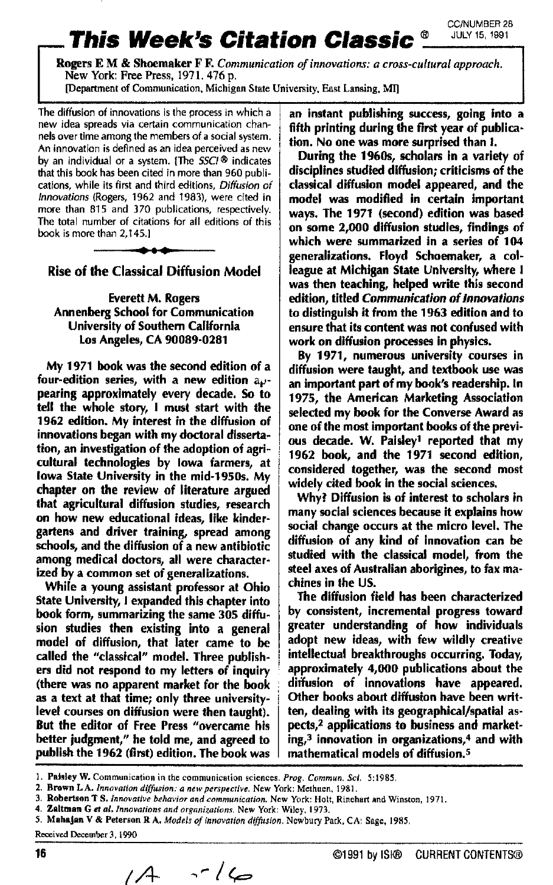**This Week's Citation Classic CCANUMBER 28**<br>Rogers E.M. & Shoemaker F. F. Communication of innovations: a cross-cultural approach.<br>New York: Free Press, 1971. 476 p.<br>[Department of Communication, Michigan State University, **Rogers E M** & Shoemaker **F F.** *Conintunication* **of** *innovations: a cross-cultural approach.*  **New York Free Press, 1971.476 p.** 

**[Department of Communication.** Michigan State University, **East** Lansing.

The diffusion of innovations is the process in which a new idea spreads via certain communication channels over time among the members of a social system. An innovation is defined as an idea perceived as **new**  by an individual or a system. **[The SSC/®** indicates that this **book** has been cited in more than 960 publications, while its first and third editions, *Difiusion* of *Innovations* (Rogers, 1962 and **'79831, were** cited in more than 815 and 370 publications, respectively. The total number of citations for all editions of this **bcok** is more than 2,145.1 *n* of innovations is the process in which a<br>reads via certain communication chan-<br>e among the members of a social system<br>in is defined as an idea perceived as new<br>dual or a system. (The *SSCI*® indicates<br>k has been cited



Rise of the **Classical** Diffusion Model

Everett M. Rogers Annenberg School for Communication University **of** Southern Californla **10s** Angeles, CA 90089-0281

My 1971 book was the second edition of a four-edition series, with a new edition appearing approximately every decade. *So* to tell the whole story, I must start with the 1962 edition. My interest in the diffusion of innovations began with my doctoral dissertation, an investigation of the adoption of agricultural technologies by Iowa farmers, at Iowa State University in the mid-1950s. My chapter on the review of literature argued that agricultural diffusion studies, research on how new educational ideas, like kindergartens and driver training, spread among schools, and the diffusion of a new antibiotic among medical doctors, all were characterized by a common set of generalizations.

While a young assistant professor at Ohio State University, **1** expanded this chapter into book form, summarizing the **same** 305 difision studies then existing into a general model of diffusion, that later came to **be**  called the "classical" model. Three publishers did not respond to my letters of inquiry (there was no apparent market for the book **as** a text at that time; only three universitylevel courses on diffusion were then taught). But the editor **of** Free Press "overcame his better judgment," he told me, and agreed to publish the 1962 (first) edition. The book was

an instant publishing success, going into a fifth printing during the **first** year of publication. No one was more surprised than **1.** 

During the **1%&,** scholars in a variety **of**  disciplines studied diffusion; criticisms of the classical diffusion model appeared, and the model **was** modified in certain important ways. The 1971 (second) edition was based on some **2,000** diffusion studies, findings **of**  which were summarized in a series of 104 generalizations. Floyd Schoemaker, a colleague at Michigan State University, where **<sup>I</sup>** was then teaching, helped write this second edition, titled Communication *of* **Innovations**  to distinguish it from the 1963 edition and to ensure that its content was not confused with work on diffusion processes in physics.

By 1971, numerous university courses in diffusion were taught, and tertbook use was **an** important part of my **book's** readership. In 1975, the American Marketing Association selected my book for the Converse Award as one of the most important **books** of the previ**ous** decade. W. Paisley' reported that my 1962 book, and the 1971 second edition, considered together, was the second most widely cited book in the social sciences.

Why? Diffusion is **of** interest to scholars in many social sciences because it explains how social change occurs at the micro level. The diffusion of any kind of innovation can be studied with the classical model, from the steel axes **of** Australian aborigines, to fax machines in the US.

The diffusion field has **been** characterized by consistent, incremental progress toward greater understanding of how individuals adopt new ideas, with few wildly creative intellectual breakthroughs occurring. Today, approximately **4,000** publications about the diffusion of innovations have appeared. Other books about diffusion have been written, dealing with its geographical/spatial **as**pects,<sup>2</sup> applications to business and marketing,3 innovation in organizations,4 and with mathematical models of diffusion.5

**16** Q1991 by **lSl@** CURRENT CONTENTS@ *[A-* 

**<sup>1.</sup> Pelsley W. Communication in the communication sciences.** *Prog. Commun.* **Sci. 5:1985.** 

*<sup>2.</sup>* **Brown LA.** *lnnovnnon dimion:* **4** *neivpmpccrive.* **New York: Methuen.** 1981.

**<sup>3.</sup> Robertson T S.** *Innovative behavior and communication***. New York: Holt, Rinehart and Winston, 1971. <br>4. Zeltman G et al.** *Innovations and organizations***. New York: Wiley, 1973.** 

**<sup>4.</sup> Zaltmsn Gel** *al. Innovnfions and orgnnizarionr.* **New York: Wiley. 1973.** 

**<sup>5.</sup> MahaJan V** & **Peterson R A.** *Mudefr of innorution diffusion.* **Ncwbury Park, CA Sage, 1985** 

 $Received December 3, 1990$